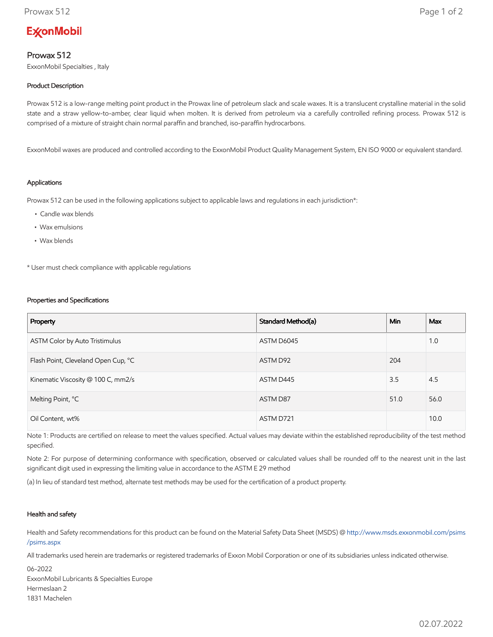# **ExconMobil**

## Prowax 512

ExxonMobil Specialties , Italy

### Product Description

Prowax 512 is a low-range melting point product in the Prowax line of petroleum slack and scale waxes. It is a translucent crystalline material in the solid state and a straw yellow-to-amber, clear liquid when molten. It is derived from petroleum via a carefully controlled refining process. Prowax 512 is comprised of a mixture of straight chain normal paraffin and branched, iso-paraffin hydrocarbons.

ExxonMobil waxes are produced and controlled according to the ExxonMobil Product Quality Management System, EN ISO 9000 or equivalent standard.

#### Applications

Prowax 512 can be used in the following applications subject to applicable laws and regulations in each jurisdiction\*:

- Candle wax blends
- Wax emulsions
- Wax blends

\* User must check compliance with applicable regulations

#### Properties and Specifications

| Property                            | Standard Method(a) | <b>Min</b> | <b>Max</b> |
|-------------------------------------|--------------------|------------|------------|
| ASTM Color by Auto Tristimulus      | ASTM D6045         |            | 1.0        |
| Flash Point, Cleveland Open Cup, °C | ASTM D92           | 204        |            |
| Kinematic Viscosity @ 100 C, mm2/s  | ASTM D445          | 3.5        | 4.5        |
| Melting Point, °C                   | ASTM D87           | 51.0       | 56.0       |
| Oil Content, wt%                    | ASTM D721          |            | 10.0       |

Note 1: Products are certified on release to meet the values specified. Actual values may deviate within the established reproducibility of the test method specified.

Note 2: For purpose of determining conformance with specification, observed or calculated values shall be rounded off to the nearest unit in the last significant digit used in expressing the limiting value in accordance to the ASTM E 29 method

(a) In lieu of standard test method, alternate test methods may be used for the certification of a product property.

#### Health and safety

Health and Safety recommendations for this product can be found on the Material Safety Data Sheet (MSDS) @ [http://www.msds.exxonmobil.com/psims](http://www.msds.exxonmobil.com/psims/psims.aspx) /psims.aspx

All trademarks used herein are trademarks or registered trademarks of Exxon Mobil Corporation or one of its subsidiaries unless indicated otherwise.

06-2022 ExxonMobil Lubricants & Specialties Europe Hermeslaan 2 1831 Machelen